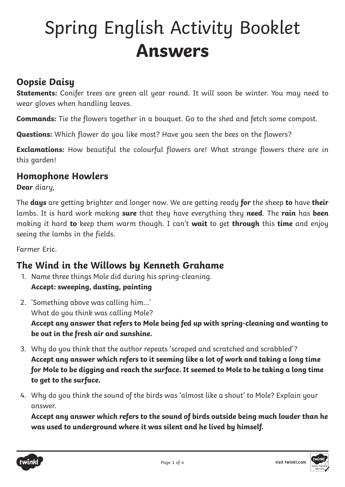# Spring English Activity Booklet **Answers**

### **Oopsie Daisy**

**Statements:** Conifer trees are green all year round. It will soon be winter. You may need to wear gloves when handling leaves.

**Commands:** Tie the flowers together in a bouquet. Go to the shed and fetch some compost.

**Questions:** Which flower do you like most? Have you seen the bees on the flowers?

**Exclamations:** How beautiful the colourful flowers are! What strange flowers there are in this garden!

#### **Homophone Howlers**

**Dear** diary,

The **days** are getting brighter and longer now. We are getting ready **for** the sheep **to** have **their** lambs. It is hard work making **sure** that they have everything they **need**. The **rain** has **been** making it hard **to** keep them warm though. I can't **wait** to get **through** this **time** and enjoy seeing the lambs in the fields.

Farmer Eric.

#### **The Wind in the Willows by Kenneth Grahame**

- 1. Name three things Mole did during his spring-cleaning. **Accept: sweeping, dusting, painting**
- 2. 'Something above was calling him…' What do you think was calling Mole? **Accept any answer that refers to Mole being fed up with spring-cleaning and wanting to be out in the fresh air and sunshine.**
- 3. Why do you think that the author repeats 'scraped and scratched and scrabbled'? **Accept any answer which refers to it seeming like a lot of work and taking a long time for Mole to be digging and reach the surface. It seemed to Mole to be taking a long time to get to the surface.**
- 4. Why do you think the sound of the birds was 'almost like a shout' to Mole? Explain your answer.

**Accept any answer which refers to the sound of birds outside being much louder than he was used to underground where it was silent and he lived by himself.**



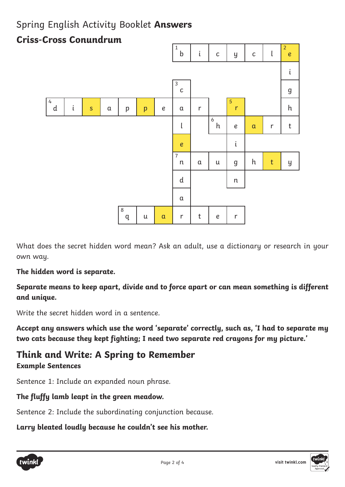#### Spring English Activity Booklet **Answers**

#### 1 i c gcl 2 i 3 g 4 i<mark>s</mark> a p <mark>p</mark> e a r 5 h l 6 e <mark>a</mark> r t e i 7 a | u | g | h <mark>| t |</mark> y d | n a 8 u <mark>a</mark> r t e r b h c d q r n e **Criss-Cross Conundrum**

What does the secret hidden word mean? Ask an adult, use a dictionary or research in your own way.

#### **The hidden word is separate.**

**Separate means to keep apart, divide and to force apart or can mean something is different and unique.**

Write the secret hidden word in a sentence.

**Accept any answers which use the word 'separate' correctly, such as, 'I had to separate my two cats because they kept fighting; I need two separate red crayons for my picture.'**

#### **Think and Write: A Spring to Remember Example Sentences**

Sentence 1: Include an expanded noun phrase.

#### **The fluffy lamb leapt in the green meadow.**

Sentence 2: Include the subordinating conjunction because.

**Larry bleated loudly because he couldn't see his mother.**



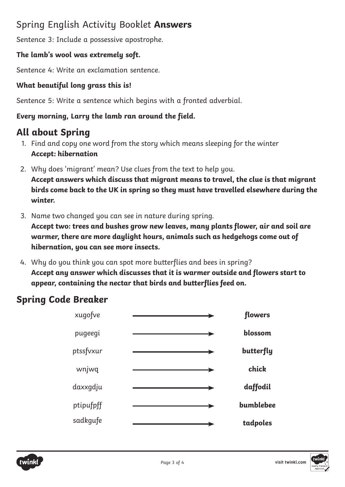#### Spring English Activity Booklet **Answers**

Sentence 3: Include a possessive apostrophe.

#### **The lamb's wool was extremely soft.**

Sentence 4: Write an exclamation sentence.

#### **What beautiful long grass this is!**

Sentence 5: Write a sentence which begins with a fronted adverbial.

#### **Every morning, Larry the lamb ran around the field.**

## **All about Spring**

- 1. Find and copy one word from the story which means sleeping for the winter **Accept: hibernation**
- 2. Why does 'migrant' mean? Use clues from the text to help you. **Accept answers which discuss that migrant means to travel, the clue is that migrant birds come back to the UK in spring so they must have travelled elsewhere during the winter.**
- 3. Name two changed you can see in nature during spring.

**Accept two: trees and bushes grow new leaves, many plants flower, air and soil are warmer, there are more daylight hours, animals such as hedgehogs come out of hibernation, you can see more insects.**

4. Why do you think you can spot more butterflies and bees in spring? **Accept any answer which discusses that it is warmer outside and flowers start to appear, containing the nectar that birds and butterflies feed on.**

## **Spring Code Breaker**

| flowers   | xugofve   |
|-----------|-----------|
| blossom   | pugeegi   |
| butterfly | ptssfvxur |
| chick     | wnjwq     |
| daffodil  | daxxgdju  |
| bumblebee | ptipufpff |
| tadpoles  | sadkgufe  |